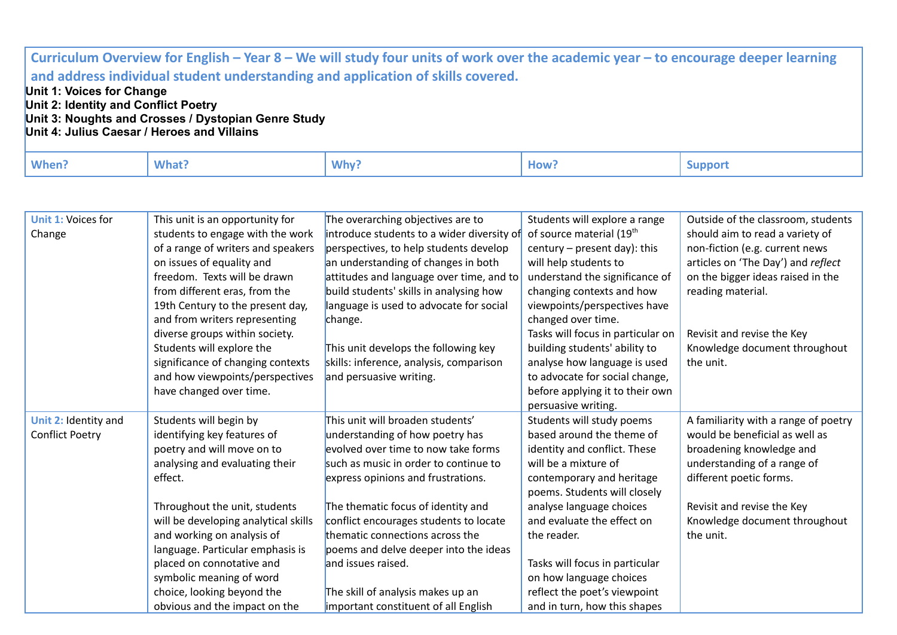Curriculum Overview for English - Year 8 - We will study four units of work over the academic year - to encourage deeper learning **and address individual student understanding and application of skills covered.**

**Unit 1: Voices for Change**

**Unit 2: Identity and Conflict Poetry**

**Unit 3: Noughts and Crosses / Dystopian Genre Study**

**Unit 4: Julius Caesar / Heroes and Villains**

| When?<br>What: | <b>Why</b> | How? | <b>Support</b> |  |
|----------------|------------|------|----------------|--|
|----------------|------------|------|----------------|--|

| Unit 1: Voices for     | This unit is an opportunity for      | The overarching objectives are to          | Students will explore a range        | Outside of the classroom, students   |
|------------------------|--------------------------------------|--------------------------------------------|--------------------------------------|--------------------------------------|
| Change                 | students to engage with the work     | introduce students to a wider diversity of | of source material (19 <sup>th</sup> | should aim to read a variety of      |
|                        | of a range of writers and speakers   | perspectives, to help students develop     | century $-$ present day): this       | non-fiction (e.g. current news       |
|                        | on issues of equality and            | an understanding of changes in both        | will help students to                | articles on 'The Day') and reflect   |
|                        | freedom. Texts will be drawn         | attitudes and language over time, and to   | understand the significance of       | on the bigger ideas raised in the    |
|                        | from different eras, from the        | build students' skills in analysing how    | changing contexts and how            | reading material.                    |
|                        | 19th Century to the present day,     | language is used to advocate for social    | viewpoints/perspectives have         |                                      |
|                        | and from writers representing        | change.                                    | changed over time.                   |                                      |
|                        | diverse groups within society.       |                                            | Tasks will focus in particular on    | Revisit and revise the Key           |
|                        | Students will explore the            | This unit develops the following key       | building students' ability to        | Knowledge document throughout        |
|                        | significance of changing contexts    | skills: inference, analysis, comparison    | analyse how language is used         | the unit.                            |
|                        | and how viewpoints/perspectives      | and persuasive writing.                    | to advocate for social change,       |                                      |
|                        | have changed over time.              |                                            | before applying it to their own      |                                      |
|                        |                                      |                                            | persuasive writing.                  |                                      |
| Unit 2: Identity and   | Students will begin by               | This unit will broaden students'           | Students will study poems            | A familiarity with a range of poetry |
| <b>Conflict Poetry</b> | identifying key features of          | understanding of how poetry has            | based around the theme of            | would be beneficial as well as       |
|                        | poetry and will move on to           | evolved over time to now take forms        | identity and conflict. These         | broadening knowledge and             |
|                        | analysing and evaluating their       | such as music in order to continue to      | will be a mixture of                 | understanding of a range of          |
|                        | effect.                              | express opinions and frustrations.         | contemporary and heritage            | different poetic forms.              |
|                        |                                      |                                            | poems. Students will closely         |                                      |
|                        | Throughout the unit, students        | The thematic focus of identity and         | analyse language choices             | Revisit and revise the Key           |
|                        | will be developing analytical skills | conflict encourages students to locate     | and evaluate the effect on           | Knowledge document throughout        |
|                        | and working on analysis of           | thematic connections across the            | the reader.                          | the unit.                            |
|                        | language. Particular emphasis is     | poems and delve deeper into the ideas      |                                      |                                      |
|                        | placed on connotative and            | and issues raised.                         | Tasks will focus in particular       |                                      |
|                        | symbolic meaning of word             |                                            | on how language choices              |                                      |
|                        | choice, looking beyond the           | The skill of analysis makes up an          | reflect the poet's viewpoint         |                                      |
|                        | obvious and the impact on the        | important constituent of all English       | and in turn, how this shapes         |                                      |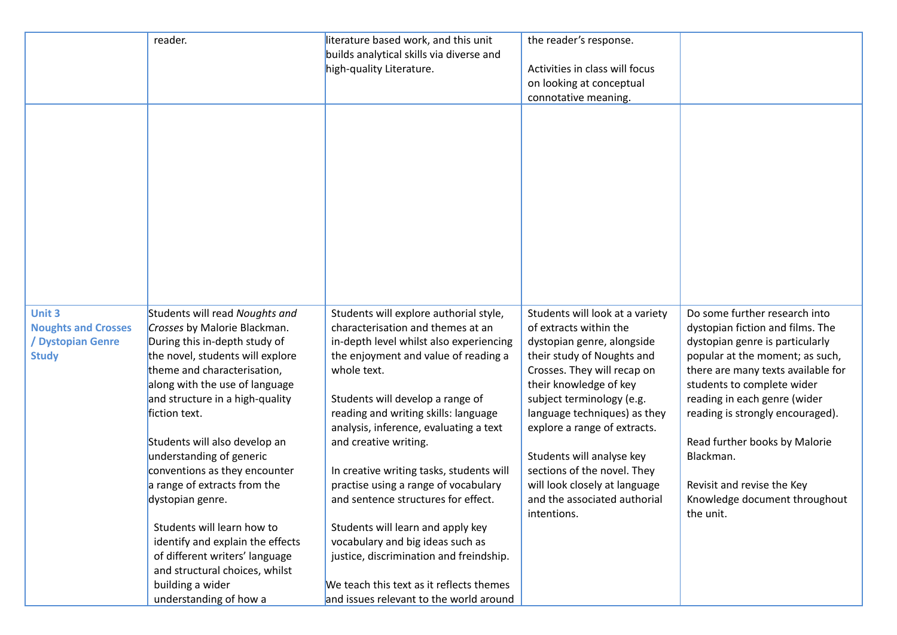|                                                 | reader.                                                       | literature based work, and this unit                                        | the reader's response.                               |                                                                     |
|-------------------------------------------------|---------------------------------------------------------------|-----------------------------------------------------------------------------|------------------------------------------------------|---------------------------------------------------------------------|
|                                                 |                                                               | builds analytical skills via diverse and<br>high-quality Literature.        | Activities in class will focus                       |                                                                     |
|                                                 |                                                               |                                                                             | on looking at conceptual                             |                                                                     |
|                                                 |                                                               |                                                                             | connotative meaning.                                 |                                                                     |
|                                                 |                                                               |                                                                             |                                                      |                                                                     |
|                                                 |                                                               |                                                                             |                                                      |                                                                     |
|                                                 |                                                               |                                                                             |                                                      |                                                                     |
|                                                 |                                                               |                                                                             |                                                      |                                                                     |
|                                                 |                                                               |                                                                             |                                                      |                                                                     |
|                                                 |                                                               |                                                                             |                                                      |                                                                     |
|                                                 |                                                               |                                                                             |                                                      |                                                                     |
|                                                 |                                                               |                                                                             |                                                      |                                                                     |
|                                                 |                                                               |                                                                             |                                                      |                                                                     |
|                                                 |                                                               |                                                                             |                                                      |                                                                     |
|                                                 |                                                               |                                                                             |                                                      |                                                                     |
|                                                 |                                                               |                                                                             |                                                      |                                                                     |
|                                                 |                                                               |                                                                             |                                                      |                                                                     |
| Unit 3                                          | Students will read Noughts and                                | Students will explore authorial style,<br>characterisation and themes at an | Students will look at a variety                      | Do some further research into                                       |
| <b>Noughts and Crosses</b><br>/ Dystopian Genre | Crosses by Malorie Blackman.<br>During this in-depth study of | in-depth level whilst also experiencing                                     | of extracts within the<br>dystopian genre, alongside | dystopian fiction and films. The<br>dystopian genre is particularly |
| <b>Study</b>                                    | the novel, students will explore                              | the enjoyment and value of reading a                                        | their study of Noughts and                           | popular at the moment; as such,                                     |
|                                                 | theme and characterisation,                                   | whole text.                                                                 | Crosses. They will recap on                          | there are many texts available for                                  |
|                                                 | along with the use of language                                |                                                                             | their knowledge of key                               | students to complete wider                                          |
|                                                 | and structure in a high-quality                               | Students will develop a range of                                            | subject terminology (e.g.                            | reading in each genre (wider                                        |
|                                                 | fiction text.                                                 | reading and writing skills: language                                        | language techniques) as they                         | reading is strongly encouraged).                                    |
|                                                 |                                                               | analysis, inference, evaluating a text                                      | explore a range of extracts.                         |                                                                     |
|                                                 | Students will also develop an                                 | and creative writing.                                                       |                                                      | Read further books by Malorie                                       |
|                                                 | understanding of generic                                      |                                                                             | Students will analyse key                            | Blackman.                                                           |
|                                                 | conventions as they encounter                                 | In creative writing tasks, students will                                    | sections of the novel. They                          |                                                                     |
|                                                 | a range of extracts from the                                  | practise using a range of vocabulary                                        | will look closely at language                        | Revisit and revise the Key                                          |
|                                                 | dystopian genre.                                              | and sentence structures for effect.                                         | and the associated authorial<br>intentions.          | Knowledge document throughout<br>the unit.                          |
|                                                 | Students will learn how to                                    | Students will learn and apply key                                           |                                                      |                                                                     |
|                                                 | identify and explain the effects                              | vocabulary and big ideas such as                                            |                                                      |                                                                     |
|                                                 | of different writers' language                                | justice, discrimination and freindship.                                     |                                                      |                                                                     |
|                                                 | and structural choices, whilst                                |                                                                             |                                                      |                                                                     |
|                                                 | building a wider                                              | We teach this text as it reflects themes                                    |                                                      |                                                                     |
|                                                 | understanding of how a                                        | and issues relevant to the world around                                     |                                                      |                                                                     |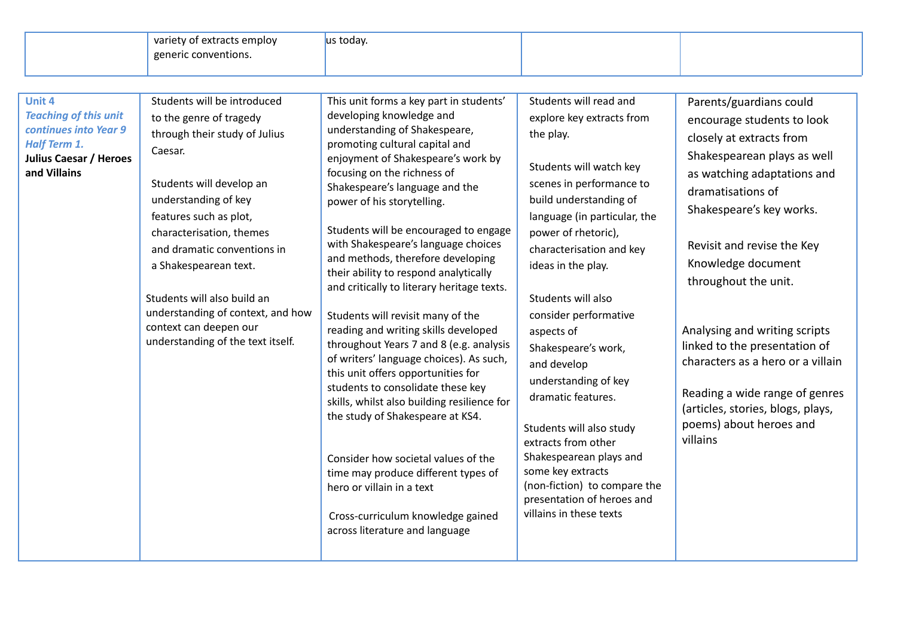| s employ<br>extra    | todav.<br>ם ו<br>$\ddotsc$ |  |
|----------------------|----------------------------|--|
| eeneric conventions. |                            |  |
|                      |                            |  |

| Unit 4<br><b>Teaching of this unit</b><br>continues into Year 9<br><b>Half Term 1.</b><br><b>Julius Caesar / Heroes</b><br>and Villains | Students will be introduced<br>to the genre of tragedy<br>through their study of Julius<br>Caesar.<br>Students will develop an<br>understanding of key<br>features such as plot,<br>characterisation, themes<br>and dramatic conventions in<br>a Shakespearean text.<br>Students will also build an<br>understanding of context, and how<br>context can deepen our<br>understanding of the text itself. | This unit forms a key part in students'<br>developing knowledge and<br>understanding of Shakespeare,<br>promoting cultural capital and<br>enjoyment of Shakespeare's work by<br>focusing on the richness of<br>Shakespeare's language and the<br>power of his storytelling.<br>Students will be encouraged to engage<br>with Shakespeare's language choices<br>and methods, therefore developing<br>their ability to respond analytically<br>and critically to literary heritage texts.<br>Students will revisit many of the<br>reading and writing skills developed<br>throughout Years 7 and 8 (e.g. analysis<br>of writers' language choices). As such,<br>this unit offers opportunities for<br>students to consolidate these key<br>skills, whilst also building resilience for<br>the study of Shakespeare at KS4.<br>Consider how societal values of the<br>time may produce different types of<br>hero or villain in a text<br>Cross-curriculum knowledge gained<br>across literature and language | Students will read and<br>explore key extracts from<br>the play.<br>Students will watch key<br>scenes in performance to<br>build understanding of<br>language (in particular, the<br>power of rhetoric),<br>characterisation and key<br>ideas in the play.<br>Students will also<br>consider performative<br>aspects of<br>Shakespeare's work,<br>and develop<br>understanding of key<br>dramatic features.<br>Students will also study<br>extracts from other<br>Shakespearean plays and<br>some key extracts<br>(non-fiction) to compare the<br>presentation of heroes and<br>villains in these texts | Parents/guardians could<br>encourage students to look<br>closely at extracts from<br>Shakespearean plays as well<br>as watching adaptations and<br>dramatisations of<br>Shakespeare's key works.<br>Revisit and revise the Key<br>Knowledge document<br>throughout the unit.<br>Analysing and writing scripts<br>linked to the presentation of<br>characters as a hero or a villain<br>Reading a wide range of genres<br>(articles, stories, blogs, plays,<br>poems) about heroes and<br>villains |
|-----------------------------------------------------------------------------------------------------------------------------------------|---------------------------------------------------------------------------------------------------------------------------------------------------------------------------------------------------------------------------------------------------------------------------------------------------------------------------------------------------------------------------------------------------------|------------------------------------------------------------------------------------------------------------------------------------------------------------------------------------------------------------------------------------------------------------------------------------------------------------------------------------------------------------------------------------------------------------------------------------------------------------------------------------------------------------------------------------------------------------------------------------------------------------------------------------------------------------------------------------------------------------------------------------------------------------------------------------------------------------------------------------------------------------------------------------------------------------------------------------------------------------------------------------------------------------|---------------------------------------------------------------------------------------------------------------------------------------------------------------------------------------------------------------------------------------------------------------------------------------------------------------------------------------------------------------------------------------------------------------------------------------------------------------------------------------------------------------------------------------------------------------------------------------------------------|---------------------------------------------------------------------------------------------------------------------------------------------------------------------------------------------------------------------------------------------------------------------------------------------------------------------------------------------------------------------------------------------------------------------------------------------------------------------------------------------------|
|-----------------------------------------------------------------------------------------------------------------------------------------|---------------------------------------------------------------------------------------------------------------------------------------------------------------------------------------------------------------------------------------------------------------------------------------------------------------------------------------------------------------------------------------------------------|------------------------------------------------------------------------------------------------------------------------------------------------------------------------------------------------------------------------------------------------------------------------------------------------------------------------------------------------------------------------------------------------------------------------------------------------------------------------------------------------------------------------------------------------------------------------------------------------------------------------------------------------------------------------------------------------------------------------------------------------------------------------------------------------------------------------------------------------------------------------------------------------------------------------------------------------------------------------------------------------------------|---------------------------------------------------------------------------------------------------------------------------------------------------------------------------------------------------------------------------------------------------------------------------------------------------------------------------------------------------------------------------------------------------------------------------------------------------------------------------------------------------------------------------------------------------------------------------------------------------------|---------------------------------------------------------------------------------------------------------------------------------------------------------------------------------------------------------------------------------------------------------------------------------------------------------------------------------------------------------------------------------------------------------------------------------------------------------------------------------------------------|